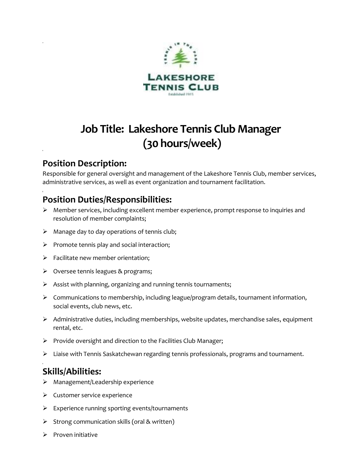

# **Job Title: Lakeshore Tennis Club Manager (30 hours/week)**

### **Position Description:**

Responsible for general oversight and management of the Lakeshore Tennis Club, member services, administrative services, as well as event organization and tournament facilitation.

## **Position Duties/Responsibilities:**

- ➢ Member services, including excellent member experience, prompt response to inquiries and resolution of member complaints;
- ➢ Manage day to day operations of tennis club;
- $\triangleright$  Promote tennis play and social interaction;
- $\triangleright$  Facilitate new member orientation;
- ➢ Oversee tennis leagues & programs;
- ➢ Assist with planning, organizing and running tennis tournaments;
- ➢ Communications to membership, including league/program details, tournament information, social events, club news, etc.
- ➢ Administrative duties, including memberships, website updates, merchandise sales, equipment rental, etc.
- ➢ Provide oversight and direction to the Facilities Club Manager;
- ➢ Liaise with Tennis Saskatchewan regarding tennis professionals, programs and tournament.

## **Skills/Abilities:**

- ➢ Management/Leadership experience
- ➢ Customer service experience
- ➢ Experience running sporting events/tournaments
- ➢ Strong communication skills (oral & written)
- ➢ Proven initiative